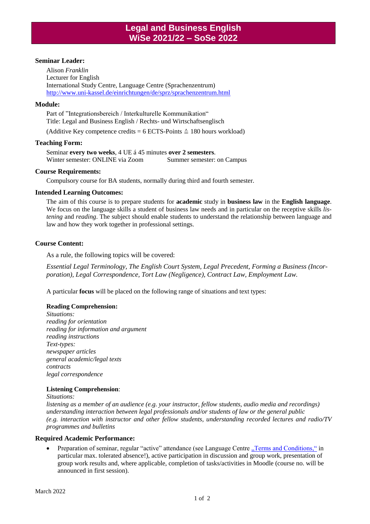# **Seminar Leader:**

Alison *Franklin* Lecturer for English International Study Centre, Language Centre (Sprachenzentrum) <http://www.uni-kassel.de/einrichtungen/de/sprz/sprachenzentrum.html>

## **Module:**

Part of "Integrationsbereich / Interkulturelle Kommunikation" Title: Legal and Business English / Rechts- und Wirtschaftsenglisch

(Additive Key competence credits =  $6$  ECTS-Points  $\triangle$  180 hours workload)

## **Teaching Form:**

Seminar **every two weeks**, 4 UE á 45 minutes **over 2 semesters**. Winter semester: ONLINE via Zoom Summer semester: on Campus

#### **Course Requirements:**

Compulsory course for BA students, normally during third and fourth semester.

## **Intended Learning Outcomes:**

The aim of this course is to prepare students for **academic** study in **business law** in the **English language**. We focus on the language skills a student of business law needs and in particular on the receptive skills *listening* and *reading*. The subject should enable students to understand the relationship between language and law and how they work together in professional settings.

## **Course Content:**

As a rule, the following topics will be covered:

*Essential Legal Terminology, The English Court System, Legal Precedent, Forming a Business (Incorporation), Legal Correspondence, Tort Law (Negligence), Contract Law, Employment Law.*

A particular **focus** will be placed on the following range of situations and text types:

# **Reading Comprehension:**

*Situations: reading for orientation reading for information and argument reading instructions Text-types: newspaper articles general academic/legal texts contracts legal correspondence*

#### **Listening Comprehension**:

*Situations:*

*listening as a member of an audience (e.g. your instructor, fellow students, audio media and recordings) understanding interaction between legal professionals and/or students of law or the general public (e.g. interaction with instructor and other fellow students, understanding recorded lectures and radio/TV programmes and bulletins*

## **Required Academic Performance:**

• Preparation of seminar, regular "active" attendance (see Language Centr[e "Terms and Conditions,"](http://www.uni-kassel.de/einrichtungen/fileadmin/datas/einrichtungen/isz/sprachenzentrum/Bilder/Startseite/Teilnahmebedingungen_eng.pdf) in particular max. tolerated absence!), active participation in discussion and group work, presentation of group work results and, where applicable, completion of tasks/activities in Moodle (course no. will be announced in first session).